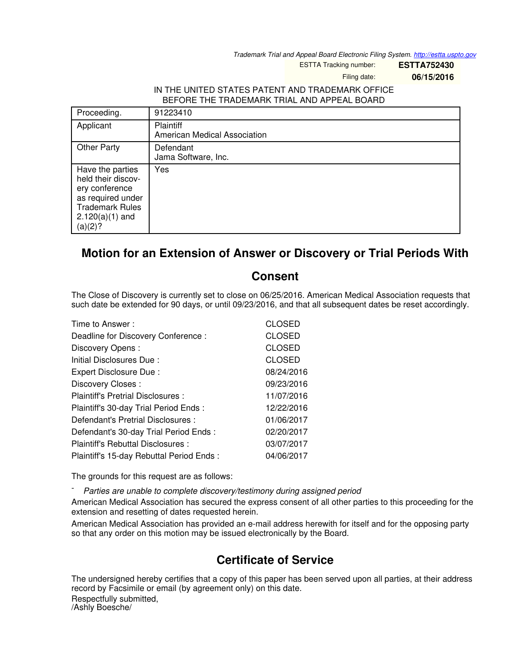*Trademark Trial and Appeal Board Electronic Filing System. <http://estta.uspto.gov>*

ESTTA Tracking number: **ESTTA752430**

Filing date: **06/15/2016**

## IN THE UNITED STATES PATENT AND TRADEMARK OFFICE BEFORE THE TRADEMARK TRIAL AND APPEAL BOARD

| Proceeding.                                                                                                                             | 91223410                                  |
|-----------------------------------------------------------------------------------------------------------------------------------------|-------------------------------------------|
| Applicant                                                                                                                               | Plaintiff<br>American Medical Association |
| <b>Other Party</b>                                                                                                                      | Defendant<br>Jama Software, Inc.          |
| Have the parties<br>held their discov-<br>ery conference<br>as required under<br><b>Trademark Rules</b><br>$2.120(a)(1)$ and<br>(a)(2)? | Yes                                       |

## **Motion for an Extension of Answer or Discovery or Trial Periods With**

## **Consent**

The Close of Discovery is currently set to close on 06/25/2016. American Medical Association requests that such date be extended for 90 days, or until 09/23/2016, and that all subsequent dates be reset accordingly.

| Time to Answer:                          | <b>CLOSED</b> |
|------------------------------------------|---------------|
| Deadline for Discovery Conference:       | <b>CLOSED</b> |
| Discovery Opens:                         | <b>CLOSED</b> |
| Initial Disclosures Due:                 | <b>CLOSED</b> |
| Expert Disclosure Due:                   | 08/24/2016    |
| Discovery Closes:                        | 09/23/2016    |
| Plaintiff's Pretrial Disclosures :       | 11/07/2016    |
| Plaintiff's 30-day Trial Period Ends:    | 12/22/2016    |
| Defendant's Pretrial Disclosures :       | 01/06/2017    |
| Defendant's 30-day Trial Period Ends:    | 02/20/2017    |
| Plaintiff's Rebuttal Disclosures:        | 03/07/2017    |
| Plaintiff's 15-day Rebuttal Period Ends: | 04/06/2017    |

The grounds for this request are as follows:

- *Parties are unable to complete discovery/testimony during assigned period*

American Medical Association has secured the express consent of all other parties to this proceeding for the extension and resetting of dates requested herein.

American Medical Association has provided an e-mail address herewith for itself and for the opposing party so that any order on this motion may be issued electronically by the Board.

## **Certificate of Service**

The undersigned hereby certifies that a copy of this paper has been served upon all parties, at their address record by Facsimile or email (by agreement only) on this date. Respectfully submitted, /Ashly Boesche/